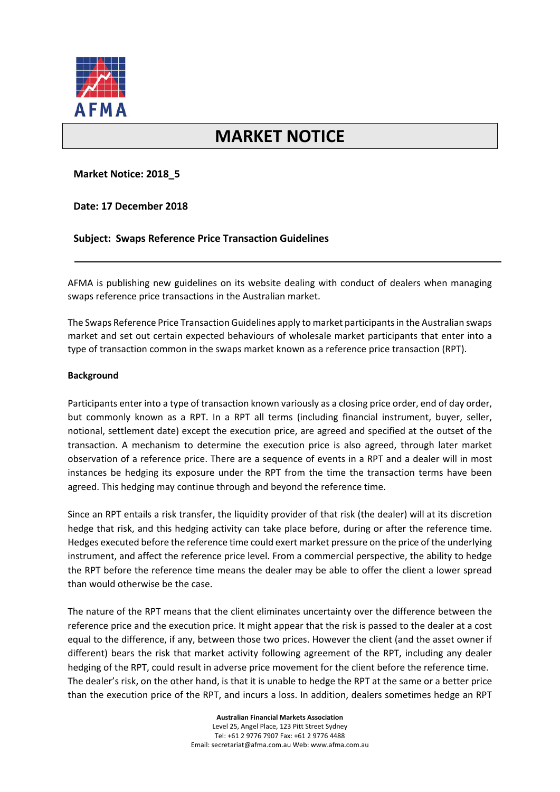

# **MARKET NOTICE**

## **Market Notice: 2018\_5**

**Date: 17 December 2018**

## **Subject: Swaps Reference Price Transaction Guidelines**

AFMA is publishing new guidelines on its website dealing with conduct of dealers when managing swaps reference price transactions in the Australian market.

The Swaps Reference Price Transaction Guidelines apply to market participants in the Australian swaps market and set out certain expected behaviours of wholesale market participants that enter into a type of transaction common in the swaps market known as a reference price transaction (RPT).

#### **Background**

Participants enter into a type of transaction known variously as a closing price order, end of day order, but commonly known as a RPT. In a RPT all terms (including financial instrument, buyer, seller, notional, settlement date) except the execution price, are agreed and specified at the outset of the transaction. A mechanism to determine the execution price is also agreed, through later market observation of a reference price. There are a sequence of events in a RPT and a dealer will in most instances be hedging its exposure under the RPT from the time the transaction terms have been agreed. This hedging may continue through and beyond the reference time.

Since an RPT entails a risk transfer, the liquidity provider of that risk (the dealer) will at its discretion hedge that risk, and this hedging activity can take place before, during or after the reference time. Hedges executed before the reference time could exert market pressure on the price of the underlying instrument, and affect the reference price level. From a commercial perspective, the ability to hedge the RPT before the reference time means the dealer may be able to offer the client a lower spread than would otherwise be the case.

The nature of the RPT means that the client eliminates uncertainty over the difference between the reference price and the execution price. It might appear that the risk is passed to the dealer at a cost equal to the difference, if any, between those two prices. However the client (and the asset owner if different) bears the risk that market activity following agreement of the RPT, including any dealer hedging of the RPT, could result in adverse price movement for the client before the reference time. The dealer's risk, on the other hand, is that it is unable to hedge the RPT at the same or a better price than the execution price of the RPT, and incurs a loss. In addition, dealers sometimes hedge an RPT